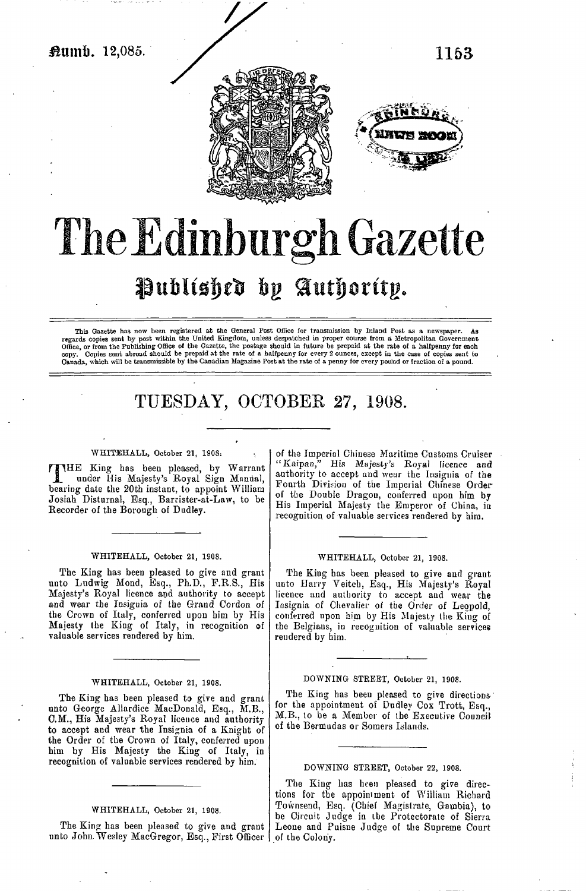

# The Edinburgh Gazette Published by Authority.

This Gazette has now been registered at the General Post Office for transmission by Inland Post as a newspaper. regards copies sent by post within the United Kingdom, unless despatched in proper course from a Metropolitan Government Office, or from the Publishing Office of the Gazette, the postage should in future be prepaid at the Canada, which will be transmissible by the Canadian Magazine Post at the rate of a penny for every pound or fraction of a pound.

# TUESDAY, OCTOBER 27, 1908.

#### WHITEHALL, October 21, 1903;

E King has been pleased, by Warrant § under His Majesty's Royal Sign Manual, **d** under His Majesty's Royal Sign Manual, bearing date the 20th instant, to appoint William Josiah Disturnal, Esq., Barrister-at-Law, to be Recorder of the Borough of Dudley.

#### WHITEHALL, October 21, 1908.

The King has been pleased to give and grant unto Ludwig Mond, Esq., Ph.D., F.R.S., His Majesty's Royal licence and authority to accept and wear the Insignia of the Grand Cordon of the Crown of Italy, conferred upon him by His Majesty the King of Italy, in recognition ef valuable services rendered by him.

#### WHITEHALL, October 21, 1908.

The King has been pleased to give and grant unto George Allardice MacDonald, Esq., M.B., C.M., His Majesty's Royal lieeuce and authority to accept and wear the Insignia of a Knight of the Order of the Crown of Italy, conferred upon him by His Majesty the King of Italy, in recognition of valuable services rendered by him.

#### WHITEHALL, October 21, 1S08.

The King has been pleased to give and grant unto John Wesley MacGregor, Esq., First Officer | of the Colony.

of the Imperial Chinese Maritime Customs Cruiser "Kaipan," His Majesty's Royal licence and authority to accept and wear the Insignia of the Fourth Division of the Imperial Chinese Order of the Double Dragon, conferred upon him by His Imperial Majesty the Emperor of China, in recognition of valuable services rendered by him.

#### WHITEHALL, October 21, 1908.

The King has been pleased to give and grant uuto Harry Yeitch, Esq., His Majesty's Royal licence and authority to accept and wear the Insignia of Chevalier of the Order of Leopold, conferred upon him by His Majesty the King of the Belgians, in recognition of valuable services rendered by him.

## DOWNING STREET, October 21, 1908.

The King has been pleased to give directions for the appointment of Dudley Cox Trott, Esq., M.B.. to be a Member of the Executive Council of the Bermudas or Somers Islands.

#### DOWNING STREET, October 22, 1908.

The King has heen pleased to give directions for the appointment of William Richard Townsend, Esq. (Chief Magistrate, Gambia), to be Circuit Judge in the Protectorate of Sierra Leone and Puisne Judge of the Supreme Court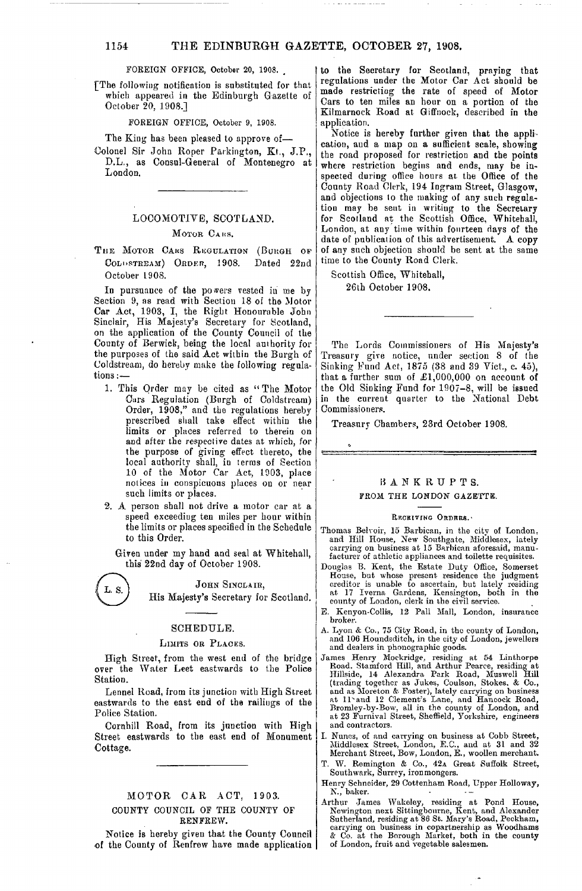## 1154 THE EDINBURGH GAZETTE, OCTOBER 27, 1908.

FOREIGN OFFICE, October 20, 1908.

fThe following notification is substituted for that which appeared in the Edinburgh Gazette of October 20, 1908.]

FOREIGN OFFICE, October 9, 1908.

The King has been pleased to approve of—

Colonel Sir John Roper Parkington, Kt., J.P., D.L., as Consul-General of Montenegro at London.

## LOCOMOTIVE, SCOTLAND.

#### MOTOR CARS.

THE MOTOR CARS REGULATION (BURGH OF COLI»STREAM) ORDER, 1908. Dated 22nd October 1908.

In pursuance of the powers vested in me by Section 9, as read with Section 18 of the Motor Car Act, 1903, I, the Right Honournble John Sinclair, His Majesty's Secretary for Scotland, on the application of the County Council of the County of Berwick, being the local authority for the purposes of the said Act within the Burgh of Coldstream, do hereby make the following regulations :—

- 1. This Order may be cited as "The Motor Curs Regulation (Burgh of Coldstream) Order, 1908," and the regulations hereby prescribed shall take effect within the limits or places referred to therein on and after the respective dates at which, for the purpose of giving effect thereto, the local authority shall, in terms of Section 10 of the Motor Car Act, 1903, place notices in conspicuous places on or near such limits or places.
- 2. A person shall not drive a motor car at a speed exceediug ten miles per hour within the limits or places specified in the Schedule to this Order.

Given under my hand and seal at Whitehall, this 22nd day of October 1908.

JOHN SINCLAIR,

His Majesty's Secretary for Scotland.

## SCHEDULE.

#### LIMITS OR PLACES.

High Street, from the west end of the bridge over the Water Leet eastwards to the Police Station.

Lennel Road, from its junction with High Street eastwards to the east end of the railings of the Police Station.

Cornhill Road, from its junction with High Street eastwards to the east end of Monument Cottage.

## MOTOR CAR ACT, 1903. COUNTY COUNCIL OF THE COUNTY OF RENFREW.

Notice is hereby given that the County Council of the County of Renfrew have made application

to the Secretary for Scotland, praying that regulations under the Motor Car Act should be made restricting the rate of speed of Motor Cars to ten miles an hour on a portion of the Kilmarnock Road at Giffnock, described in the application.

Xotice is hereby further given that the application, and a map on a sufficient scale, showing the road proposed for restriction and the points where restriction begins and ends, may be inspected during office hours at the Office of the County Road Clerk, 194 Ingram Street, Glasgow, and objections to the making of any such regulation may be sent in writing to the Secretary for Scotland at the Scottish Office, Whitehall, London, at any time within fourteen days of the date of publication of this advertisement. A copy of any such objection should be sent at the same time to the County Road Clerk.

Scottish Office, Whitehall, 26th October 1908.

The Lords Commissioners of His Majesty's Treasury give notice, under section 8 of (he Sinking Fund Act, 1875 (38 and 39 Viet, c. 45), that a further sum of  $\pounds1,000,000$  on account of the Old Sinking Fund for 1907-8, will be issued in the current quarter to the National Debt Commissioners.

Treasury Chamber?, 23rd October 1908.



## BANKRUPTS. FROM THE LONDON GAZETTE.

#### RECEIVING ORDRRS.

- Thomas Belvoir. 15 Barbican, in the city of London, and Hill House, New Southgate, Middlesex, lately carrying on business at 15 Barbican aforesaid, manufacturer of athletic appliances and toilette requisites.
- Douglas B. Kent, the Estate Duty Office, Somerset House, but whose present residence the judgment creditor is unable to ascertain, but lately residing at 17 Iverna Gardens, Kensington, both in the county of London, clerk in the civil service.
- E. Kenyon-Collis, 12 Pall Mall, London, insurance broker.
- A. Lyon & Co., 75 City Road, in the county of London, and 106 Houndsditch, in the city of London, jewellers and dealers in phonographic goods.
- James Henry Mockridge, residing at 54 Linthorpe<br>Road. Stamford Hill, and Arthur Pearce, residing at<br>Hillside, 14 Alexandra Park Road, Muswell Hill<br>(trading together as Jukes, Coulson, Stokes. & Co.,<br>and as Moreton & Foster and contractors.
- I. Nunes, of and carrying on business at Cobb Street, Middlesex Street, London, E.G., and at 31 and 32 Merchant Street, Bow, London, E., woollen merchant.
- T. W. Remington & Co., 42A Great Suffolk Street, Southwark, Surrey, ironmongers.
- Henry Schneider, 29 Cottenham Road, Upper Holloway, N., baker. --
- Arthur James Wakeley, residing at Pond House,<br>Newington next Sittingbourne, Kent, and Alexander<br>Sutherland, residing at 86 St. Mary's Road, Peckham,<br>carrying on business in copartnership as Woodhams<br>& Co. at the Borough Ma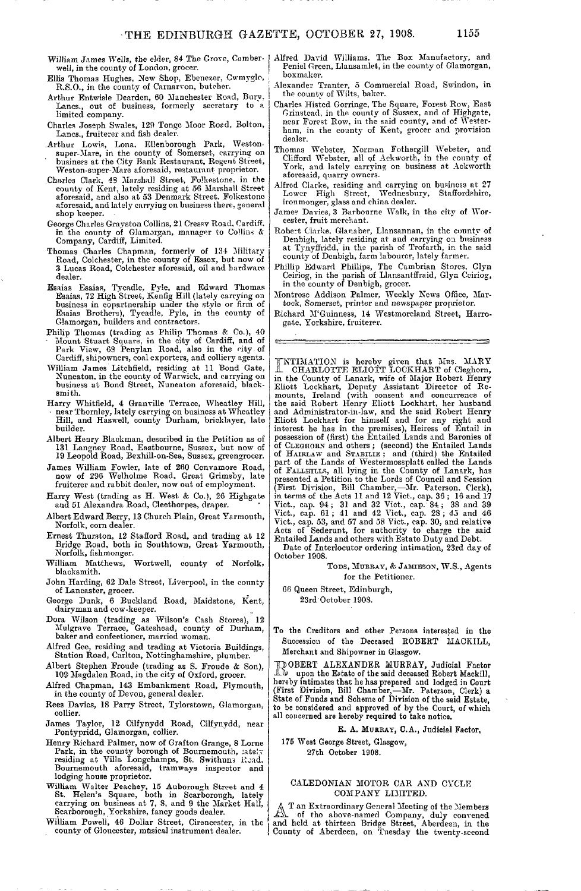- William James Wells, the elder, 84 The Grove, Camberwell, in the county of London, grocer.
- Ellis Thomas Hughes, New Shop, Ehenezer, Cwmyglo, R.S.O., in the county of Carnarvon, butcher.
- Arthur Entwisle Dearden, 60 Manchester Road, Bury, Lanes., out of business, formerly secretary to a limited company.
- Charles Joseph Swales, 129 Tonge Moor Road, Bolton, Lanes., fruiterer and fish dealer.
- Arthur Lowis, Lona. Ellenborough Park, Westonsuper-Mare, in the county of Somerset, carrying on business at the City Bank Restaurant, Regent Street, Weston-super-Mare aforesaid, restaurant proprietor.
- Charles Clark, 48 Marshal] Street, Folkestone, in the county of Kent, lately residing at 56 Marshall Street aforesaid, and also at 53 Denmark Street. Folkestone aforesaid, and lately carrying on business there, general shop keeper.
- George Charles Grayston Collins, 21 Cressv Road, Cardiff. in the county of Glamorgan, manager to Collins *&* Company, Cardiff, Limited.
- Thomas Charles Chapman, formerly of 134 Military Road, Colchester, in the county of Essex, but now of 3 Lucas Road, Colchester aforesaid, oil and hardware dealer.
- Esaias Esaias, Tycadle. Pyle, and Edward Thomas Esaias, 72 High Street, Kenfig Hill (lately carrying on business in copartnership under the style or firm of Esaias Brothers), Tycadle, Pyle, in the county of Glamorgan, builders and contractors.
- Philip Thomas (trading as Philip Thomas & Co.), 40 - Mount Stuart Square, in the city of Cardiff, and of Park View, 68 Penylan Road, also in the city, of Cardiff, shipowner?, coal exporters, and colliery agents.
- William James Litchfield, residing at 11 Bond Gate, Nuneaton, in the county of Warwick, and carrying on business at Bond Street, Nuneaton aforesaid, blacksmith.
- Harry Whitfield, 4 Granville Terrace, Wheatley Hill, near Thornley, lately carrying on business at Wheatley Hill, and Haswell, county Durham, bricklayer, late builder.
- Albert Henry Blackman, described in the Petition as of 131 Langney Road, Eastbourne, Susses, but now of 19 Leopold Road, Bexhill-on-Sea, Sussex, greengrocer.
- James William Fowler, late of 260 Convamore Road, now of 296 Welholme Road. Great Grimsby, late fruiterer and rabbit dealer, now out of employment.
- Harry West (trading as H. West & Co.), 26 Highgate and 51 Alexandra Road, Cleethorpes, draper.
- Albert Edward Berry, 13 Church Plain, Great Yarmouth, Norfolk, corn dealer.
- Ernest Thurston, 12 Stafford Road, and trading at 12 Bridge Road, both in South town, Great Yarmouth, Norfolk, fishmonger.
- William Matthews, Wortwell, county of Norfolk. blacksmith.
- John Harding, 62 Dale Street, Liverpool, in the county of Lancaster, grocer.
- George Dunk, 6 Buckland Road, Maidstone, Kent,<br>dairyman and cow-keeper.
- Dora Wilson (trading as Wilson's Cash Stores), 12 Mulgrave Terrace, Gateshead, county of Durham, baker and confectioner, married woman.
- Alfred Gee, residing and trading at Victoria Buildings, Station Road, Carlton, Nottinghamshire, plumber.
- Albert Stephen Froude (trading as S. Froude & Son), 109 Magdalen Road, in the city of Oxford, grocer.
- Alfred Chapman, 143 Embankment Road, Plymouth, in the county of Devon, general dealer.
- Rees Davics, 18 Parry Street, Tylorstown, Glamorgan, collier.
- James Taylor, 12 Cilfynydd Road, Cilfynydd, near Pontypridd, Glamorgan, collier.
- Henry Richard Palmer, now of Grafton Grange, 8 Lome Park, in the county borough of Bournemouth, lately<br>residing at Villa Longchamps, St. Swithuns Road. Bournemouth aforesaid, tramways inspector and lodging house proprietor.
- William Walter Peachey, 15 Auborough Street and 4 St. Helen's Square, both in Scarborough, lately carrying on business at 7, 8, and 9 the Market Hall, Scarborough, Yorkshire, fancy goods dealer.
- William Powell, 46 Dollar Street, Cirencester, in the county of Gloucester, musical instrument dealer.
- Alfred David Williams, The Box Manufactory, and Peniel Green, Llansamlet, in the county of Glamorgan, boxmaker.
- Alexander Tranter, 5 Commercial Road, Swindon, in the county of Wilts, baker.
- Charles Histed Gorringe, The Square, Forest Row, East Grinstead, in the county of Sussex, and of Highgate, near Forest Row, in the said county, and of Westerham, in the county of Kent, grocer and provision dealer.
- Thomas Webster, Norman Fothergill Webster, and Clifford Webster, all of Ackworth, in the county of York, and lately carrying on business at Ackworth aforesaid, quarry owners.
- Alfred Clarke, residing and carrying on business at 27 Wednesbury, Staffordshire, ironmonger, glass and china dealer.
- James Davies, 3 Barbourne Walk, in the city of Worcester, fruit merchant.
- Robert Clarke. Glanaber, Llansannan, in the county of Denbigh, lately residing at and carrying on business at Tynyffiidd, in the parish of Trofarth, in the said county of Denbigh, farm labourer, lately farmer.
- Phillip Edward Phillips, The Cambrian Stores, Clyn Ceiriog, in the parish of Llansantffraid, Glyn Ceiriog, in the county of Denbigh, grocer.
- Montrose Addison Palmer, Weekly News Office, Martock, Somerset, printer and newspaper proprietor.
- Richard M'Guinness, 14 Westmoreland Street, Harrogate, Yorkshire, fruiterer.

INTIMATION is hereby given that Mrs. MARY<br>
I CHARLOTTE ELIOTT LOCKHART of Cleghorn,<br>
in the County of Lanark, wife of Major Robert Henry<br>
Eliott Lockhart, Deputy Assistant Director of Re-<br>
mounts, Ireland (with consent and of CLEGIIORX and others ; (second) the Entailed Lands of HAIRLAW and STABILIE ; and (third) the Entailed part of the Lands of Westermossplatt called the Landsof FALLETLLES, all lying in the County of Lanark, has<br>presented a Petition to the Lords of Council and Session<br>(First Division, Bill Chamber, --Mr. Paterson. Clerk),<br>in terms of the Acts 11 and 12 Vict., cap. 36; 16 and 17

Date of Interlocutor ordering intimation, 23rd dav of October 1908.

> TODS, MURRAY, & JAMIESON, W.S., Agents for the Petitioner.

68 Queen Street, Edinburgh,

23rd October 190S.

To the Creditors and other Persons interested in the Succession of the Deceased ROBERT UACKILL, Merchant and Shipowner in Glasgow.

HOOBERT ALEXANDER MURRAY, Judicial Factor<br>A upon the Estate of the said deceased Robert Mackill, hereby intimates that he has prepared and lodged in Court (First Division, Bill Chamber,—Mr. Paterson, Clerk) a State of Funds and Scheme of Division of the said Estate, to be considered and approved of by the Court, of which all concerned are hereby required to take notice.

## R. A. MUKRAY, C.A., Judicial Factor,

175 West George Street, Glasgow, 27th October 1908.

#### CALEDONIAN MOTOR CAR AND CYCLE COMPANY LIMITED.

T an Extraordinary General Meeting of the Members jfca. of the above-named Company, duly convened and held at thirteen Bridge Street, Aberdeen, in the County of Aberdeen, on Tuesday the twenty-second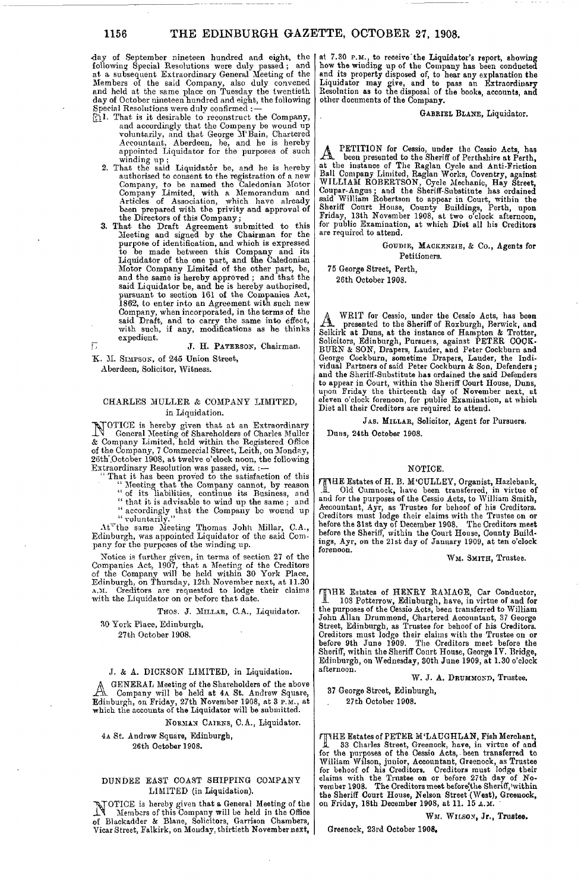day of September nineteen hundred and eight, the following Special Resolutions were duly passed ; and at a subsequent Extraordinary General Meeting of the Members of the said Company, also duly convened and held at the same place on Tuesday the twentieth day of October nineteen hundred and eight, the following Special Resolutions were duly confirmed : —

- $[$ [H]. That is it desirable to reconstruct the Company, and accordingly that the Company be wound up voluntarily, and that George M'Bain, Chartered Accountant, Aberdeen, be, and he is hereby appointed Liquidator for the purposes of such winding up ;
	- 2. That the said Liquidator be, and he is hereby authorised to consent to the registration of a new Company, to be named the Caledonian Motor Company Limited, with a Memorandum and Articles of Association, which have already<br>been prepared with the privity and approval of<br>the Directors of this Company;
	- *3.* That the Draft Agreement submitted to this Meeting and signed by the Chairman for the purpose of identification, and which is expressed to be made between this Company and its Liquidator of the one part, and the Caledonian Motor Company Limited of the other part, be, and the same is hereby approved ; and that the said Liquidator be, and he is hereby authorised, pursuant to section 161 of the Companies Act, 1862, to enter into an Agreement with such new Company, when incorporated, in the terms of the said Draft, and to carry the same into effect, with such, if any, modifications as he thinks expedient.

*"\~>* J. H. PATERSON, Chairman.

*H.* M. SIMPSON, of 245 Union Street,

Aberdeen, Solicitor, Witness.

### CHARLES MULLER & COMPANY LIMITED, in Liquidation.

NOTICE is hereby given that at an Extraordinary General Meeting of Shareholders of Charles Muller & Company Limited, held within the Registered Office of the Company, 7 Commercial Street, Leith, on Monday, 26th'.October 1908, at twelve o'clock noon, the following Extraordinary Resolution was passed, viz. :

- That it has been proved to the satisfaction of this<br>
"Meeting that the Company cannot, by reason<br>
" of its liabilities, continue its Business, and<br>
" that it is advisable to wind up the same; and
	- " accordingly that the Company be wound up *"* voluntarily."

At<sup>7</sup>the same Meeting Thomas John Millar, C.A., Edinburgh, was appointed Liquidator of the said Company for the purposes of the winding up.

Notice is further given, in terms of section 27 of the Companies Act, 1907, that a Meeting of the Creditors of the Company will be held within 30 York Place, Edinburgh, on Thursday, 12th November next, at 11.30 Creditors are requested to lodge their claims with the Liquidator on or before that date.

THOS. J. MILLAR, C.A., Liquidator. 30 York Place, Edinburgh,

27th October 1908.

#### J. & A. DICKSON LIMITED, in Liquidation.

A GENERAL Meeting of the Shareholders of the above<br>  $A$  Company will be held at 4A St. Andrew Square,<br>
Edinburgh, on Friday, 27th November 1908, at 3 P.M., at<br>
which the accounts of the Liquidator will be submitted. GENERAL Meeting of the Shareholders of the above Company will bo held at 4A St. Andrew Square,

NORMAN CAIRNS, C.A., Liquidator. 4A St. Andrew Square, Edinburgh,

26th October 1908.

#### DUNDEE EAST COAST SHIPPING COMPANY LIMITED (in Liquidation).

NOTICE is hereby given that a General Meeting of the J\_l Members of this Company will be held in the Office of Blackadder & Blane, Solicitors, Garrison Chambers, Vicar Street, Falkirk, on Monday, thirtieth November next,

at 7.30 P.M., to receive the Liquidator's report, showing how the winding up of the Company has been conducted and its property disposed of, to hear any explanation the Liquidator may give, and to pass an Extraordinary Resolution as to the disposal of the books, accounts, and other documents of the Company.

GABRIEL BLANE, Liquidator.

A PETITION for Cessio, under the Cessio Acts, has<br>
A been presented to the Sheriff of Perthshire at Perth,<br>
at the instance of The Raglan Cycle and Anti-Friction<br>
Ball Company Limited, Raglan Works, Coventry, against<br>
WILL PETITION for Cessio, under the Cessio Acts, has been presented to the Sheriff of Perthshire at Perth, are required to attend.

> GOUDIE, MACKENZIE, & Co., Agents for Petitioners.

75 George Street, Perth, 26th October 1908.

A WRIT for Cessio, under the Cessio Acts, has been<br>Selkirk at Duns, at the instance of Hampton & Trotter,<br>Solicitors, Edinburgh, Pursuers, against PETER COCK-WRIT for Cessio, under the Cessio Acts, has been presented to the Sheriff of Roxburgh, Berwick, and BURN & SON, Drapers, Lauder, and Peter Cockburn and George Cockburn, sometime Drapers, Lauder, the Indi-vidual Partners of said Peter Cockburn & Son, Defenders ; and the Sheriff-Substitute has ordained the said Defenders to appear in Court, within tho Sheriff Court House, Duns, upon Friday the thirteenth day of November next, at .eleven o'clock forenoon, for public Examination, at which Diet all their Creditors are required to attend.

JAS. MILLAR, Solicitor, Agent for Pursuers.

Duns, 24th October 1908.

#### NOTICE.

mHE Estates of H. B. M'CULLEY, Organist, Hazlebank, .1\_ Old Cumnock, have been transferred, in virtue of and for the purposes of the Cessio Acts, to William Smith, Accountant, Ayr, as Trustee for behoof of his Creditors. Creditors must lodge their claims with the Trustee on or before the 31st day of December 1908. The Creditors meet before the Sheriff, within the Court House, County Build-ings, Ayr, on the 21st day of January 1909, at ten o'clock forenoon.

WM. SMITH, Trustee.

THE Estates of HENRY RAMAGE, Car Conductor, A. 108 Potterrow, Edinburgh, have, in virtue of and for<br>the purposes of the Cessio Acts, been transferred to William<br>John Allan Drummond, Chartered Accountant, 37 George<br>Street, Edinburgh, as Trustee for behoof of his Cred before 9th June 1909. The Creditors meet before the Sheriff, within the Sheriff Court House, George IV. Bridge, Edinburgh, on Wednesday, 30th June 1909, at 1.30 o'clock afternoon.

W. J. A. DRUMMOND, Trustee.

37 George Street, Edinburgh,

27th October 1908.

TIHE Estates of PETER M'LAUGHLAN, Fish Merchant, L 33 Charles Street, Greenock, have, in virtue of and<br>for the purposes of the Cessio Acts, been transferred to<br>William Wilson, junior, Accountant, Greenock, as Trustee<br>for behoof of his Creditors. Creditors must lodge thei claims with the Trustee on or before 27th day of No-<br>vember 1908. The Creditors meet before'the Sheriff, 'within<br>the Sheriff Court House, Nelson Street (West), Greenock, on Friday, 18th December 1908, at 11. 15 A.M.

WM. WILSON, Jr., Trustee.

Greenock, 23rd October 1908.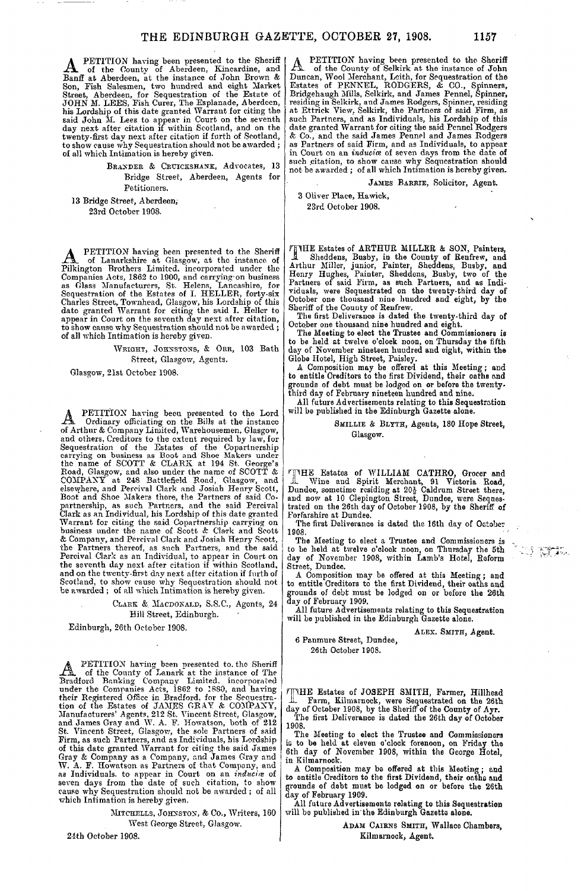A PETITION having been presented to the Sheriff<br>
Banff at Aberdeen, at the instance of John Brown & Son, Fish Salesmen, two hundred and eight Market<br>Street, Aberdeen, for Sequestration of the Estate of<br>JOHN M. LEES, Fish Curer, The Esplanade, Aberdeen,<br>his Lordship of this date granted Warrant for citing the<br>said John M. twenty-first day next after citation if furth of Scotland, to show cause why Sequestration should not be awarded ; of all which Intimation is hereby given.

> BRANDER & CRUICKSHANK, Advocates, 13 Bridge Street, Aberdeen, Agents for Petitioners.

13 Bridge Street, Aberdeen, 23rd October 1908.

**A** PETITION having been presented to the Sheriff<br>
In of Lanarkshire at Glasgow, at the instance of<br>
Pikington Brothers Limited. incorporated under the<br>
Companies Acts, 1862 to 1900, and carrying on business<br>
as Glass Manu to show cause why Sequestration should not be awarded ; of all which Intimation is hereby given.

> WRIGHT, JOHNSTONS. & ORR. 103 Bath Street, Glasgow, Agents.

Glasgow, 21st October 1908.

A Ordinary officiating on the Bills at the instance of Arthur & Company Limited, Warehousemen, Glasgow, PETITION having been presented to the Lord and others, Creditors to the extent required by law, for<br>Sequestration of the Estates of the Copartnership<br>carrying on business as Boot and Shoe Makers under<br>the name of SCOTT & CLARX at 194 St. George's<br>Road, Glasgow, and Warrant for citing the said Copartnership carrying on<br>business under the name of Scott & Clark and Scott<br>& Company, and Percival Clark and Josiah Henry Scott,<br>the Partners thereof, as such Partners, and the said<br>Percival C and on the twenty-first day next after citation if furth of Scotland, to show cause why Sequestration should not be awarded ; of all which Intimation is hereby given.

CLARK &. MACDONALD, S.S.C., Agents, 24

Hill Street, Edinburgh.

Edinburgh, 26th October 1908.

A PETITION having been presented to the Sheriff<br>
An of the County of Lanark at the instance of The<br>
Bradford Banking Company Limited, incorporated<br>
under the Companies Acts, 1862 to 1880, and having<br>
their Registered Offic of this date granted Warrant for citing the said James Gray & Company as a Company, and James Gray and W. A. F. Howatson as Partners of that Company, and as Individuals, to appear in Court on an *inducitz* of seven days from the date of such citation, to show cause why Sequestration should not be awarded; of all which Intimation is hereby given.

> MITCHELLS, JOHNSTON, & Co., Writers, 160 West George Street, Glasgow.

24th October 1908.

A PETITION having been presented to the Sheriff<br>
An of the County of Selkirk at the instance of John<br>
Duncan, Wool Merchant, Leith, for Sequestration of the<br>
Estates of PENNEL, RODGERS, & CO., Spinners,<br>
Bridgehaugh Mills,

JAMES BARRIE, Solicitor, Agent.

3 Oliver Place, Hawick, 23rd October 1908.

TIME Estates of ARTHUR MILLER & SON, Painters,<br>
1 Sheddens, Busby, in the County of Renfrew, and<br>
Arthur Miller, junior, Painter, Sheddens, Busby, and<br>
Henry Hughes, Painter, Sheddens, Busby, two of the<br>
Partners of said F

October one thousand nine hundred and eight.

The Meeting to elect the Trustee and Commissioners is to be held at twelve o'clock noon, on Thursday the fifth day of November nineteen huudred &nd eight, "within the Globe Hotel, High Street, Paisley.

A Composition may be offered at this Meeting; and to entitle Creditors to the first Dividend, their oaths and

grounds of debt must be lodged on or before the twenty-third day of February nineteen hundred and nine. All future Advertisements relating to this Sequestration will be published in the Edinburgh Gazette alone.

#### SMILLIE & BLYTH, Agents, 180 Hope Street, Glasgow.

THE Estates of WILLIAM CATHRO, Grocer and<br>Wine and Spirit Merchant, 91 Victoria Road,<br>Dundee, sometime residing at 20<sup>3</sup> Caldrum Street there,<br>and now at 10 Clepington Street, Dundee, were Seques-<br>trated on the 26th day of

The first Deliverance is dated the 16th day of October 1908.

The Meeting to elect a Trustee and Commissioners is to be held at twelve o'clock noon, on Thursday the 5th day of November 1908, within Lamb's Hotel, Reform Street, Dundee.

A Composition may be offered at this Meeting ; and to entitle Creditors to the first Dividend, their oaths and grounds of debt must be lodged on or before the 26th

day of February 1909. All future Advertisements relating to this Sequestration will be published in the Edinburgh Gazette alone.

6 Paumure Street, Dundee, 26th October 1908.

ALEX. SMITH, Agent.

40 MA

^HE Estates of JOSEPH SMITH, Farmer, Hillhead -1L Farm, Kilmarnock, were Sequestrated on the 26th day of October 1908, by the Sheriff of the County of Ayr. The first Deliverance is dated the 26th day of October 1908.

The Meeting to elect the Trustee and Commiasioaera is to be held at eleven o'clock forenoon, on Friday the 6th day of November 1908, within the George Hotel, in Kilmarnock.

A Composition may be offered at this Meeting ; and to entitle Creditors to the first Dividend, their oaths and grounds of dabt must be lodged on or before the 26th day of February 1909.

All future Advertisements relating to this Sequestration will be published in'the Edinburgh Gazette alone.

ADAM CAIRNS SMITH, Wallace Chambers, Kilmarnock, Agent.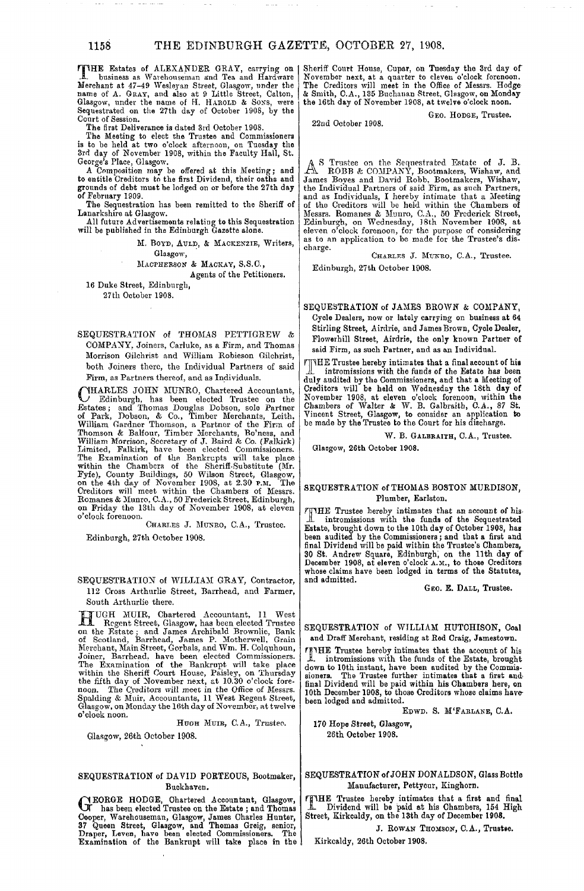THE Estates of ALEXANDER GRAY, carrying on [ JL business as Warehouseman and Tea and Hardware Merchant at 47-49 Wesleyan Street, Glasgow, under the name of A. GRAY, and also at 9 Little Street, Calton,<br>Glasgow, under the name of H. HAROLD & SONS, were<br>Sequestrated on the 27th day of October 1908, by the Court of Session.

The first Deliverance is dated 3rd October 1908. The Meeting to elect the Trustee and Commissioners is to be held at two o'clock afternoon, on Tuesday the 3rd day of November 1908, within the Faculty Hall, St.

George's Place, Glasgow. A Composition may be offered at this Meeting; and to entitle Creditors to the first Dividend, their oaths and grounds of debt must be lodged on or before the 27th day of February 1909.

The Sequestration has been remitted to the Sheriff of Lanarkshire at Glasgow.

All future Advertisements relating to this Sequestration will be published in the Edinburgh Gazette alone.

M. BOYD, AULD, & MACKENZIE, Writers, Glasgow,

MACPHERSON & MACKAY, S.S.C.,

Agents of the Petitioners. 16 Duke Street, Edinburgh,

27th October 1908.

SEQUESTRATION of THOMAS PETTIGREW & COMPANY, Joiners, Carluke, as a Firm, and Thomas Morrison Gilchrist and William Robieson Gilchrist, both Joiners there, the Individual Partners of said Firm, as Partners thereof, and as Individuals,

(VHARLES JOHN MUNRO, Chartered Accountant,<br>
Edinburgh, has been elected Trustee on the<br>
Estates; and Thomas Douglas Dobson, sole Parter<br>
of Park, Dobson, & Co., Timber Merchants, Leith,<br>
William Gardner Thomson, a Partner

CHARLES J. MUNRO, C.A., Trustee.

Edinburgh, 27th October 1908.

SEQUESTRATION of WILLIAM GRAY, Contractor, 112 Cross Arthurlie Street, Barrhead, and Farmer, South Arthurlie there.

II UGH MUIR, Chartered Accountant, 11 West<br>
II Regent Street, Glasgow, has been elected Trustee<br>
on the Estate; and James Archibald Brownlie, Bank<br>
of Scotland, Barrhead, James P. Motherwell, Grain<br>
Merchant, Main Street, Glasgow, on Monday the 16th day of November, at twelve o'clock noon.

HUGH MUIB, C.A., Trustee. Glasgow, 26th October 1908.

## SEQUESTRATION of DAVID PORTEOUS, Bootmaker, Buckhaven.

G EORGE HODGE, Chartered Accountant, Glasgow, has been elected Trustee on the Estate ; and Thomas Cooper, Warehouseman, Glasgow, James Charles Hunter,<br>37 Queen Street, Glasgow, and Thomas Greig, senior,<br>Draper, Leven, have been elected Commissioners. The<br>Examination of the Bankrupt will take place in the

Sheriff Court House, Cupar, on Tuesday the 3rd day of November next, at a quarter to eleven o'clock forenoon. The Creditors will meet in the Office of Messrs. Hodge & Smith, C.A., 135 Buchanan Street, Glasgow, on Monday the 16th day of November 1908, at twelve o'clock noon.

22nd October 1908.

GEO. HODGE, Trustee.

A S Trustee on the Sequestrated Estate of J. B. ROBB & COMPANY, Bootmakers, Wishaw, and James Boyes and David Robb, Bootmakers, Wishaw, the Individual Partners of said Firm, as such Partners, and as Individuals, I hereby intimate that a Meeting of the Creditors will be held within the Chambers of Messrs. Romanes & Munro, C.A., 50 Frederick Street, Edinburgh, on Wednesday, ]8th November 1908, at eleven o'clock forenoon, for the purpose of considering as to an application to be made for the Trustee's discharge.

CHARLES J. MUNRO, C.A., Trustee.

Edinburgh, 27th October 1908.

SEQUESTRATION of JAMES BROWN & COMPANY, Cycle Dealers, now or lately carrying on business at 64 Stirling Street, Airdrie, and James Brown, Cycle Dealer, Flowerhill Street, Airdrie, the only known Partner of said Firm, as such Partner, and as an Individual.

rjHHE Trustee hereby intimates that a final account of his intromissions with the funds of the Estate has been duly audited by the Commissioners, and that a Meeting of Creditors will be held on Wednesday the 18th day of November 1908, at eleven o'clock forenoon, within the<br>Chambers of Walter & W. B. Galbraith, C.A., 87 St.<br>Vincent Street, Glasgow, to consider an application to<br>be made by the Trustee to the Court for his discharge.

W. B. GALBRAITH, C.A., Trustee.

Glaogow, 26th October 1908.

#### SEQUESTRATION of THOMAS BOSTON MURDISON, Plumber, Earlston.

fin HE Trustee hereby intimates that an account of his intromissions with the funds of the Sequestrated Estate, brought down to the 10th day of October 1908, has been audited by the Commissioners; and that a first and final Dividend will be paid within the Trustee's Chambers, 30 St. Andrew Square, Edinburgh, on the llth day of December 1908, at eleven o'clock A.M., to those Creditors whose claims have been lodged in terms of the Statutes, and admitted.

GEO. E. DALL, Trustee.

SEQUESTRATION of WILLIAM HUTCHISON, Coal and Draff Merchant, residing at Red Craig, Jamestown.

THE Trustee hereby intimates that the account of his JL intromissions with the funds of the Estate, brought down to 10th instant, have been audited by the Commis-sioners. The Trustee further intimates that a first and final Dividend will be paid within his Chambers here, on 10th December 1908, to those Creditors whose claims havebeen lodged and admitted.

EpWD. S. M'FARLANE, C.A.

170 Hope Street, Glasgow, 26th October 1908.

SEQUESTRATION of JOHN DONALDSON, Glass Bottle Manufacturer, Pettycur, Kinghorn.

Fin HE Trustee hereby intimates that a first and final JL Dividend will be paid at his Chambers, 154 High Street, Kirkcaldy, on the 13th day of December 1908.

J. ROWAN THOMSON, C.A., Trustee.

Kirkcaldy, 26th October 1908.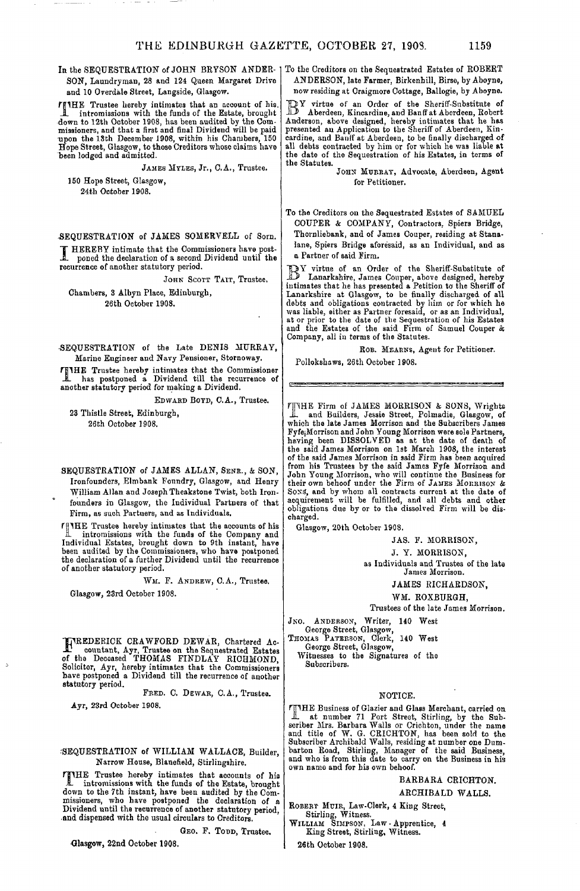SON, Lauudryman, 28 and 124 Queen Margaret Drive and 10 Overdale Street, Langside, Glasgow.

Trustee hereby intimates that an account of his. -1. intromissions with the funds of the Estate, brought down to 12th October 1908, has been audited by the Com-missioners, and that a first and final Dividend will be paid upon the 13th December 1908, within his Chambers, 150 Hope Street, Glasgow, to those Creditors whose claims have been lodged and admitted.

JAMES MTLES, Jr., C.A., Trustee.

150 Hope Street, Glasgow, 24th October 1908.

-SEQUESTRATION of JAMES SOMERVELL of Sorn.

I HERE'S HIMMAN OF STATES COMMENTS OF A poned the comment of a second recurrence of another statutory period. HEREBY intimate that the Commissioners have postponed the declaration of a second Dividend until the

JOHN SCOTT TAIT, Trustee,

Chambers, 3 Albyn Place, Edinburgh, 26th October 1908.

-SEQUESTRATION of the Late DENIS MURRAY, Marine Engineer and Navy Pensioner, Stornoway.

FinHE Trustee hereby intimates that the Commissioner JL has postponed a Dividend till the recurrence of another statutory period for making a Dividend.

EDWARD BOYD, C.A., Trustee.

23 Thistle Street, Edinburgh, 26th October 1908.

SEQUESTRATION of JAMES ALLAN, SENE., & SON, Ironfounders, Elmbank Foundry, Glasgow, and Henry William Allan and Joseph Theakstone Twist, both Ironfounders in Glasgow, the Individual Partners of that Firm, as such Partners, and as Individuals.

Trustee hereby intimates that the accounts of his intromissions with the funds of the Company and Individual Estates, brought down to 9th instant, have been audited by the Commissioners, who have postponed the declaration of a further Dividend until the recurrence of another statutory period.

WM. F. ANDREW, C.A., Trustee.

Glasgow, 23rd October 1908.

T71REDERICK CRAWFORD DEWAR, Chartered Ac-JL countant, Ayr, Trustee on the Sequestrated Estates of the Deceased THOMAS FINDLAY RICHMOND, Solicitor, Ayr, hereby intimates that the Commissioners have postponed a Dividend till the recurrence of another statutory period.

FRED. C. DEWAR, C.A., Trustee.

**Ayr, 23rd October 1908.**

## -SEQUESTRATION of WILLIAM WALLACE, Builder, Narrow House, Blanefield, Stirlingshire.

film fraction is alternated by intimates that accounts of his<br>
1 intromissions with the funds of the Estate, brought<br>
down to the 7th instant the funds of the Estate, brought down to the 7th instant, have been audited by the Com-missioners, who have postponed the declaration of a Dividend until the recurrence of another statutory period, .and dispensed with the usual circulars to Creditors.

GEO. F. TODD, Trustee.

**•Glasgow,** 22nd October 1908.

In the SEQUESTRATION of JOHN BRYSON ANDER-To the Creditors on the Sequestrated Estates of ROBERT ANDERSON, late Farmer, Birkenbill, Birse, by Aboyne, now residing at Craigmore Cottage, Ballogie, by Aboyne.

**32**Y virtue of an Order of the Sheriff-Substitute of 3 Aberdeen, Kincardine, and Banff at Aberdeen, Robert Anderson, above designed, hereby intimates that he has presented an Application to the Sheriff of Aberdeen, Kincardine, and Banff at Aberdeen, to be finally discharged of all debts contracted by him or for which he was liable at the date of the Sequestration of his Estates, in terms of the Statutes.

JOHN MURRAY, Advocate, Aberdeen, Agent for Petitioner.

To the Creditors on the Sequestrated Estates of SAMUEL COUPER & COMPANY, Contractors. Spiers Bridge, Thornliebank, and of James Couper, residing at Stanalane, Spiers Bridge aforesaid, as an Individual, and as a Partner of said Firm.

BY virtue of an Order of the Sheriff-Substitute of Lanarkshire, James Couper, above designed, hereby Lanarkshire, James Conper, above designed, hereby intimates that he has presented a Petition to the Sheriff of Lanarkshire at Glasgow, to be finally discharged of all debts and obligations contracted by him or for which he was liable, either as Partner foresaid, or as an Individual, at or prior to the date of the Sequestration of his Estates and the Estates of the said Firm of Samuel Couper & Company, all in terms of the Statutes.

ROB. MEARNS, Agent for Petitioner.

Pollokshaws, 26th October 1908.

THE Firm of JAMES MORRISON & SONS, Wrights JL and Builders, Jessie Street, Polmadie, Glasgow, of which the late James Morrison and the Subscribers James<br>Fyfe<sub>l</sub>Morrison and John Young Morrison were sole Partners,<br>having been DISSOLVED as at the date of death of<br>the said James Morrison on 1st March 1908, the interest of the said James Morrison in said Firm has been acquired from his Trustees by the said James Fyfe Morrison and John Young Morrison, who will continue the Business for their own behoof under the Firm of James Monrison &<br>Sonss, and by whom all contracts current at the date of<br>acquirement will be fulfilled, and all debts and other<br>obligations due by or to the dissolved Firm will be discharged.

Glasgow, 20th October 1908.

JAS. F. MORRISON,

J. Y. MORRISON,

as Individuals and Trustes of the late James Morrison.

JAMES RICHARDSON,

WM. ROXBURGH,

Trustees of the late James Morrison.

JNO. ANDERSON, Writer, 140 West

George Street, Glasgow,

THOMAS PATERSON, Clerk, 140 West George Street, Glasgow, Witnesses to the Signatures of the

Subocribers.

#### NOTICE.

rTHHE Business of Glazier and Glass Merchant, carried on Let number 71 Port Street, Stirling, by the Subscriber Mrs. Barbara Walls or Crichton, under the name and title of W. G. CRICHTON, has been sold to the Subscriber Archibald Walls, residing at number one Dumber about barton own name and for his own behoof.

BARBARA CRICHTON.

ARCHIBALD WALLS.

ROBERT MUIR, Law-Clerk, 4 King Street,

Stirling, Witness. WILLIAM SIMPSON. Law - Apprentice, 4 King Street, Stirling, Witness.

26th October 1908.